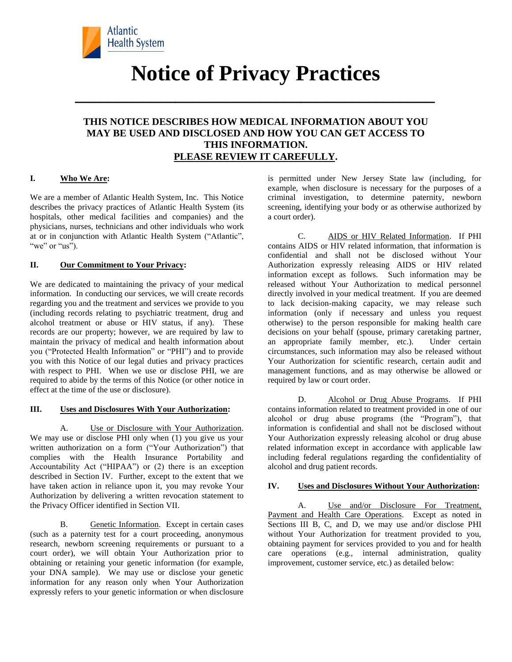

# **Notice of Privacy Practices**

**\_\_\_\_\_\_\_\_\_\_\_\_\_\_\_\_\_\_\_\_\_\_\_\_\_\_\_\_\_\_\_\_\_\_\_\_\_\_\_\_\_\_\_**

## **THIS NOTICE DESCRIBES HOW MEDICAL INFORMATION ABOUT YOU MAY BE USED AND DISCLOSED AND HOW YOU CAN GET ACCESS TO THIS INFORMATION. PLEASE REVIEW IT CAREFULLY.**

#### **I. Who We Are:**

We are a member of Atlantic Health System, Inc. This Notice describes the privacy practices of Atlantic Health System (its hospitals, other medical facilities and companies) and the physicians, nurses, technicians and other individuals who work at or in conjunction with Atlantic Health System ("Atlantic", "we" or "us").

#### **II. Our Commitment to Your Privacy:**

We are dedicated to maintaining the privacy of your medical information. In conducting our services, we will create records regarding you and the treatment and services we provide to you (including records relating to psychiatric treatment, drug and alcohol treatment or abuse or HIV status, if any). These records are our property; however, we are required by law to maintain the privacy of medical and health information about you ("Protected Health Information" or "PHI") and to provide you with this Notice of our legal duties and privacy practices with respect to PHI. When we use or disclose PHI, we are required to abide by the terms of this Notice (or other notice in effect at the time of the use or disclosure).

#### **III. Uses and Disclosures With Your Authorization:**

A. Use or Disclosure with Your Authorization. We may use or disclose PHI only when (1) you give us your written authorization on a form ("Your Authorization") that complies with the Health Insurance Portability and Accountability Act ("HIPAA") or (2) there is an exception described in Section IV. Further, except to the extent that we have taken action in reliance upon it, you may revoke Your Authorization by delivering a written revocation statement to the Privacy Officer identified in Section VII.

B. Genetic Information. Except in certain cases (such as a paternity test for a court proceeding, anonymous research, newborn screening requirements or pursuant to a court order), we will obtain Your Authorization prior to obtaining or retaining your genetic information (for example, your DNA sample). We may use or disclose your genetic information for any reason only when Your Authorization expressly refers to your genetic information or when disclosure

is permitted under New Jersey State law (including, for example, when disclosure is necessary for the purposes of a criminal investigation, to determine paternity, newborn screening, identifying your body or as otherwise authorized by a court order).

C. AIDS or HIV Related Information. If PHI contains AIDS or HIV related information, that information is confidential and shall not be disclosed without Your Authorization expressly releasing AIDS or HIV related information except as follows. Such information may be released without Your Authorization to medical personnel directly involved in your medical treatment. If you are deemed to lack decision-making capacity, we may release such information (only if necessary and unless you request otherwise) to the person responsible for making health care decisions on your behalf (spouse, primary caretaking partner, an appropriate family member, etc.). Under certain circumstances, such information may also be released without Your Authorization for scientific research, certain audit and management functions, and as may otherwise be allowed or required by law or court order.

D. Alcohol or Drug Abuse Programs. If PHI contains information related to treatment provided in one of our alcohol or drug abuse programs (the "Program"), that information is confidential and shall not be disclosed without Your Authorization expressly releasing alcohol or drug abuse related information except in accordance with applicable law including federal regulations regarding the confidentiality of alcohol and drug patient records.

#### **IV. Uses and Disclosures Without Your Authorization:**

A. Use and/or Disclosure For Treatment, Payment and Health Care Operations. Except as noted in Sections III B, C, and D, we may use and/or disclose PHI without Your Authorization for treatment provided to you, obtaining payment for services provided to you and for health care operations (e.g., internal administration, quality improvement, customer service, etc.) as detailed below: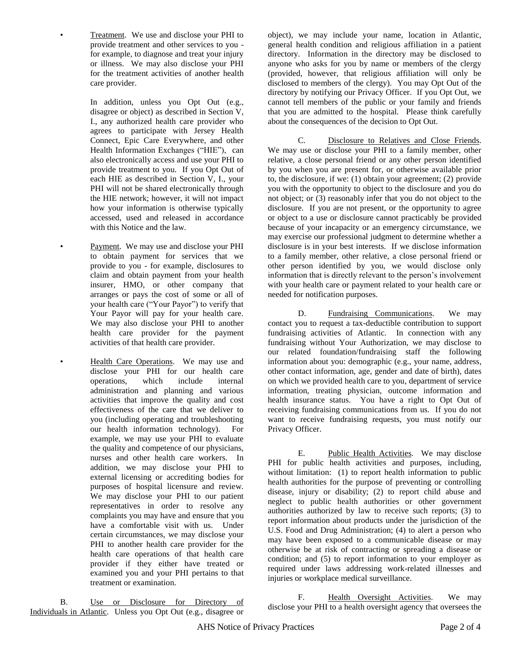• Treatment. We use and disclose your PHI to provide treatment and other services to you for example, to diagnose and treat your injury or illness. We may also disclose your PHI for the treatment activities of another health care provider.

In addition, unless you Opt Out (e.g., disagree or object) as described in Section V, I., any authorized health care provider who agrees to participate with Jersey Health Connect, Epic Care Everywhere, and other Health Information Exchanges ("HIE"), can also electronically access and use your PHI to provide treatment to you. If you Opt Out of each HIE as described in Section V, I., your PHI will not be shared electronically through the HIE network; however, it will not impact how your information is otherwise typically accessed, used and released in accordance with this Notice and the law.

Payment. We may use and disclose your PHI to obtain payment for services that we provide to you - for example, disclosures to claim and obtain payment from your health insurer, HMO, or other company that arranges or pays the cost of some or all of your health care ("Your Payor") to verify that Your Payor will pay for your health care. We may also disclose your PHI to another health care provider for the payment activities of that health care provider.

Health Care Operations. We may use and disclose your PHI for our health care operations, which include internal administration and planning and various activities that improve the quality and cost effectiveness of the care that we deliver to you (including operating and troubleshooting our health information technology). For example, we may use your PHI to evaluate the quality and competence of our physicians, nurses and other health care workers. In addition, we may disclose your PHI to external licensing or accrediting bodies for purposes of hospital licensure and review. We may disclose your PHI to our patient representatives in order to resolve any complaints you may have and ensure that you have a comfortable visit with us. Under certain circumstances, we may disclose your PHI to another health care provider for the health care operations of that health care provider if they either have treated or examined you and your PHI pertains to that treatment or examination.

object), we may include your name, location in Atlantic, general health condition and religious affiliation in a patient directory. Information in the directory may be disclosed to anyone who asks for you by name or members of the clergy (provided, however, that religious affiliation will only be disclosed to members of the clergy). You may Opt Out of the directory by notifying our Privacy Officer. If you Opt Out, we cannot tell members of the public or your family and friends that you are admitted to the hospital. Please think carefully about the consequences of the decision to Opt Out.

C. Disclosure to Relatives and Close Friends. We may use or disclose your PHI to a family member, other relative, a close personal friend or any other person identified by you when you are present for, or otherwise available prior to, the disclosure, if we: (1) obtain your agreement; (2) provide you with the opportunity to object to the disclosure and you do not object; or (3) reasonably infer that you do not object to the disclosure. If you are not present, or the opportunity to agree or object to a use or disclosure cannot practicably be provided because of your incapacity or an emergency circumstance, we may exercise our professional judgment to determine whether a disclosure is in your best interests. If we disclose information to a family member, other relative, a close personal friend or other person identified by you, we would disclose only information that is directly relevant to the person's involvement with your health care or payment related to your health care or needed for notification purposes.

D. Fundraising Communications. We may contact you to request a tax-deductible contribution to support fundraising activities of Atlantic. In connection with any fundraising without Your Authorization, we may disclose to our related foundation/fundraising staff the following information about you: demographic (e.g., your name, address, other contact information, age, gender and date of birth), dates on which we provided health care to you, department of service information, treating physician, outcome information and health insurance status. You have a right to Opt Out of receiving fundraising communications from us. If you do not want to receive fundraising requests, you must notify our Privacy Officer.

E. Public Health Activities. We may disclose PHI for public health activities and purposes, including, without limitation: (1) to report health information to public health authorities for the purpose of preventing or controlling disease, injury or disability; (2) to report child abuse and neglect to public health authorities or other government authorities authorized by law to receive such reports; (3) to report information about products under the jurisdiction of the U.S. Food and Drug Administration; (4) to alert a person who may have been exposed to a communicable disease or may otherwise be at risk of contracting or spreading a disease or condition; and (5) to report information to your employer as required under laws addressing work-related illnesses and injuries or workplace medical surveillance.

B. Use or Disclosure for Directory of Individuals in Atlantic. Unless you Opt Out (e.g., disagree or

F. Health Oversight Activities. We may disclose your PHI to a health oversight agency that oversees the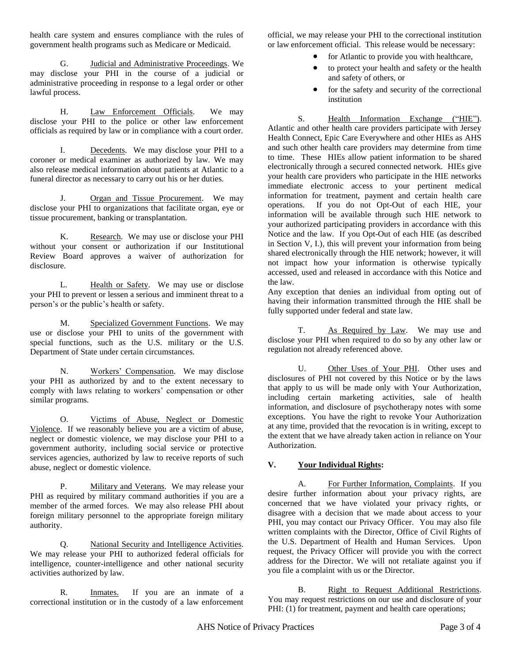health care system and ensures compliance with the rules of government health programs such as Medicare or Medicaid.

G. Judicial and Administrative Proceedings. We may disclose your PHI in the course of a judicial or administrative proceeding in response to a legal order or other lawful process.

H. Law Enforcement Officials. We may disclose your PHI to the police or other law enforcement officials as required by law or in compliance with a court order.

I. Decedents. We may disclose your PHI to a coroner or medical examiner as authorized by law. We may also release medical information about patients at Atlantic to a funeral director as necessary to carry out his or her duties.

J. Organ and Tissue Procurement. We may disclose your PHI to organizations that facilitate organ, eye or tissue procurement, banking or transplantation.

K. Research. We may use or disclose your PHI without your consent or authorization if our Institutional Review Board approves a waiver of authorization for disclosure.

L. Health or Safety. We may use or disclose your PHI to prevent or lessen a serious and imminent threat to a person's or the public's health or safety.

M. Specialized Government Functions. We may use or disclose your PHI to units of the government with special functions, such as the U.S. military or the U.S. Department of State under certain circumstances.

N. Workers' Compensation. We may disclose your PHI as authorized by and to the extent necessary to comply with laws relating to workers' compensation or other similar programs.

O. Victims of Abuse, Neglect or Domestic Violence. If we reasonably believe you are a victim of abuse, neglect or domestic violence, we may disclose your PHI to a government authority, including social service or protective services agencies, authorized by law to receive reports of such abuse, neglect or domestic violence.

P. Military and Veterans. We may release your PHI as required by military command authorities if you are a member of the armed forces. We may also release PHI about foreign military personnel to the appropriate foreign military authority.

Q. National Security and Intelligence Activities. We may release your PHI to authorized federal officials for intelligence, counter-intelligence and other national security activities authorized by law.

R. Inmates. If you are an inmate of a correctional institution or in the custody of a law enforcement

official, we may release your PHI to the correctional institution or law enforcement official. This release would be necessary:

- for Atlantic to provide you with healthcare,
- to protect your health and safety or the health and safety of others, or
- for the safety and security of the correctional institution

S. Health Information Exchange ("HIE"). Atlantic and other health care providers participate with Jersey Health Connect, Epic Care Everywhere and other HIEs as AHS and such other health care providers may determine from time to time. These HIEs allow patient information to be shared electronically through a secured connected network. HIEs give your health care providers who participate in the HIE networks immediate electronic access to your pertinent medical information for treatment, payment and certain health care operations. If you do not Opt-Out of each HIE, your information will be available through such HIE network to your authorized participating providers in accordance with this Notice and the law. If you Opt-Out of each HIE (as described in Section V, I.), this will prevent your information from being shared electronically through the HIE network; however, it will not impact how your information is otherwise typically accessed, used and released in accordance with this Notice and the law.

Any exception that denies an individual from opting out of having their information transmitted through the HIE shall be fully supported under federal and state law.

T. As Required by Law. We may use and disclose your PHI when required to do so by any other law or regulation not already referenced above.

U. Other Uses of Your PHI. Other uses and disclosures of PHI not covered by this Notice or by the laws that apply to us will be made only with Your Authorization, including certain marketing activities, sale of health information, and disclosure of psychotherapy notes with some exceptions. You have the right to revoke Your Authorization at any time, provided that the revocation is in writing, except to the extent that we have already taken action in reliance on Your Authorization.

### **V. Your Individual Rights:**

A. For Further Information, Complaints. If you desire further information about your privacy rights, are concerned that we have violated your privacy rights, or disagree with a decision that we made about access to your PHI, you may contact our Privacy Officer. You may also file written complaints with the Director, Office of Civil Rights of the U.S. Department of Health and Human Services. Upon request, the Privacy Officer will provide you with the correct address for the Director. We will not retaliate against you if you file a complaint with us or the Director.

B. Right to Request Additional Restrictions. You may request restrictions on our use and disclosure of your PHI: (1) for treatment, payment and health care operations;